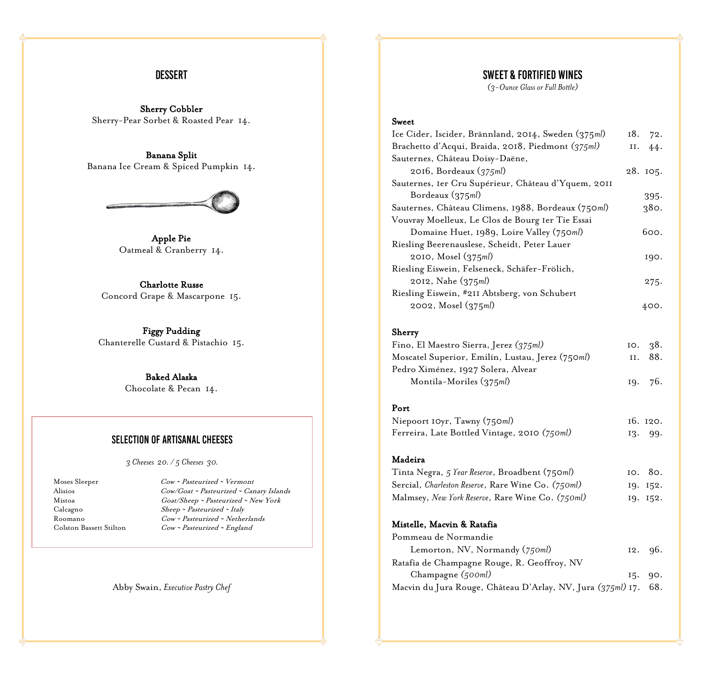## **DESSERT**

Sherry Cobbler Sherry-Pear Sorbet & Roasted Pear 14.

Banana Split Banana Ice Cream & Spiced Pumpkin 14.



Apple Pie Oatmeal & Cranberry 14.

Charlotte Russe Concord Grape & Mascarpone 15.

Figgy Pudding Chanterelle Custard & Pistachio 15.

> Baked Alaska Chocolate & Pecan 14.

#### **SELECTION OF ARTISANAL CHEESES**

*3 Cheeses 20. / 5 Cheeses 30.*

Moses Sleeper Cow ~ Pasteurized ~ Vermont<br>Alisios Cow/Goat ~ Pasteurized ~ Can Cow/Goat ~ Pasteurized ~ Canary Islands Mistoa Goat/Sheep <sup>~</sup> Pasteurized <sup>~</sup> New York Calcagno Sheep <sup>~</sup> Pasteurized <sup>~</sup> Italy Roomano Cow <sup>~</sup> Pasteurized <sup>~</sup> Netherlands Colston Bassett Stilton Cow ~ Pasteurized ~ England

Abby Swain, *Executive Pastry Chef*

# **SWEET & FORTIFIED WINES**

*(3-Ounce Glassor Full Bottle)*

#### Sweet

| Ice Cider, Iscider, Brännland, 2014, Sweden (375ml) | 18. | 72.      |
|-----------------------------------------------------|-----|----------|
| Brachetto d'Acqui, Braida, 2018, Piedmont (375ml)   | и.  | 44.      |
| Sauternes, Château Doisy-Daëne,                     |     |          |
| 2016, Bordeaux (375ml)                              |     | 28. 105. |
| Sauternes, Ier Cru Supérieur, Château d'Yquem, 20II |     |          |
| Bordeaux (375ml)                                    |     | $395 -$  |
| Sauternes, Château Climens, 1988, Bordeaux (750ml)  |     | 380.     |
| Vouvray Moelleux, Le Clos de Bourg Ier Tie Essai    |     |          |
| Domaine Huet, 1989, Loire Valley (750ml)            |     | 600.     |
| Riesling Beerenauslese, Scheidt, Peter Lauer        |     |          |
| $2010$ , Mosel $(375ml)$                            |     | 190.     |
| Riesling Eiswein, Felseneck, Schäfer-Frölich,       |     |          |
| 2012, Nahe (375ml)                                  |     | 275.     |
| Riesling Eiswein, #211 Abtsberg, von Schubert       |     |          |
| $2002$ , Mosel $(375ml)$                            |     | 400.     |
|                                                     |     |          |

Sherry

| Fino, El Maestro Sierra, Jerez (375ml)           |         | 10.38.  |
|--------------------------------------------------|---------|---------|
| Moscatel Superior, Emilín, Lustau, Jerez (750ml) |         | II. 88. |
| Pedro Ximénez, 1927 Solera, Alvear               |         |         |
| Montila-Moriles (375ml)                          | 19. 76. |         |

#### Port

| Niepoort IOyr, Tawny (750ml)                 | 16. 120. |
|----------------------------------------------|----------|
| Ferreira, Late Bottled Vintage, 2010 (750ml) | 13. 99.  |

#### Madeira

| Tinta Negra, 5 Year Reserve, Broadbent (750ml)     | 10. 80.      |
|----------------------------------------------------|--------------|
| Sercial, Charleston Reserve, Rare Wine Co. (750ml) | 19. 152.     |
| Malmsey, New York Reserve, Rare Wine Co. (750ml)   | $19.$ $152.$ |

#### Mistelle, Macvin & Ratafia

| Pommeau de Normandie                                            |         |
|-----------------------------------------------------------------|---------|
| Lemorton, NV, Normandy (750ml)                                  | 12.96.  |
| Ratafia de Champagne Rouge, R. Geoffroy, NV                     |         |
| Champagne (500ml)                                               | I5. 90. |
| Macvin du Jura Rouge, Château D'Arlay, NV, Jura (375ml) 17. 68. |         |